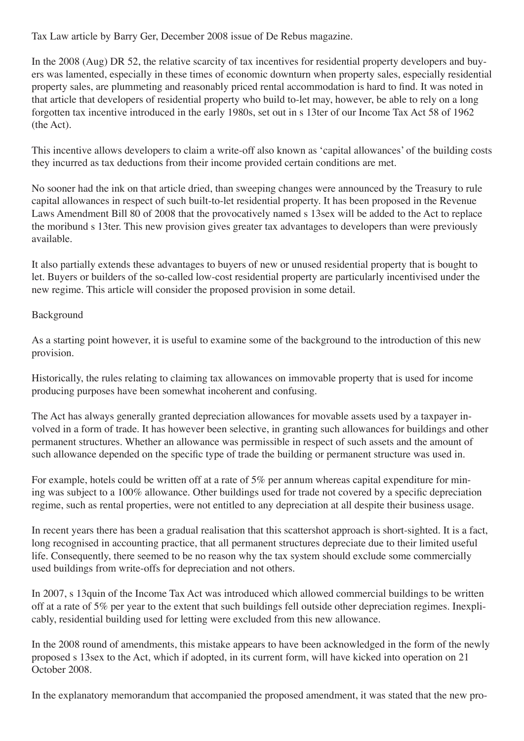Tax Law article by Barry Ger, December 2008 issue of De Rebus magazine.

In the 2008 (Aug) DR 52, the relative scarcity of tax incentives for residential property developers and buyers was lamented, especially in these times of economic downturn when property sales, especially residential property sales, are plummeting and reasonably priced rental accommodation is hard to find. It was noted in that article that developers of residential property who build to-let may, however, be able to rely on a long forgotten tax incentive introduced in the early 1980s, set out in s 13ter of our Income Tax Act 58 of 1962 (the Act).

This incentive allows developers to claim a write-off also known as 'capital allowances' of the building costs they incurred as tax deductions from their income provided certain conditions are met.

No sooner had the ink on that article dried, than sweeping changes were announced by the Treasury to rule capital allowances in respect of such built-to-let residential property. It has been proposed in the Revenue Laws Amendment Bill 80 of 2008 that the provocatively named s 13sex will be added to the Act to replace the moribund s 13ter. This new provision gives greater tax advantages to developers than were previously available.

It also partially extends these advantages to buyers of new or unused residential property that is bought to let. Buyers or builders of the so-called low-cost residential property are particularly incentivised under the new regime. This article will consider the proposed provision in some detail.

## Background

As a starting point however, it is useful to examine some of the background to the introduction of this new provision.

Historically, the rules relating to claiming tax allowances on immovable property that is used for income producing purposes have been somewhat incoherent and confusing.

The Act has always generally granted depreciation allowances for movable assets used by a taxpayer involved in a form of trade. It has however been selective, in granting such allowances for buildings and other permanent structures. Whether an allowance was permissible in respect of such assets and the amount of such allowance depended on the specific type of trade the building or permanent structure was used in.

For example, hotels could be written off at a rate of 5% per annum whereas capital expenditure for mining was subject to a 100% allowance. Other buildings used for trade not covered by a specific depreciation regime, such as rental properties, were not entitled to any depreciation at all despite their business usage.

In recent years there has been a gradual realisation that this scattershot approach is short-sighted. It is a fact, long recognised in accounting practice, that all permanent structures depreciate due to their limited useful life. Consequently, there seemed to be no reason why the tax system should exclude some commercially used buildings from write-offs for depreciation and not others.

In 2007, s 13quin of the Income Tax Act was introduced which allowed commercial buildings to be written off at a rate of 5% per year to the extent that such buildings fell outside other depreciation regimes. Inexplicably, residential building used for letting were excluded from this new allowance.

In the 2008 round of amendments, this mistake appears to have been acknowledged in the form of the newly proposed s 13sex to the Act, which if adopted, in its current form, will have kicked into operation on 21 October 2008.

In the explanatory memorandum that accompanied the proposed amendment, it was stated that the new pro-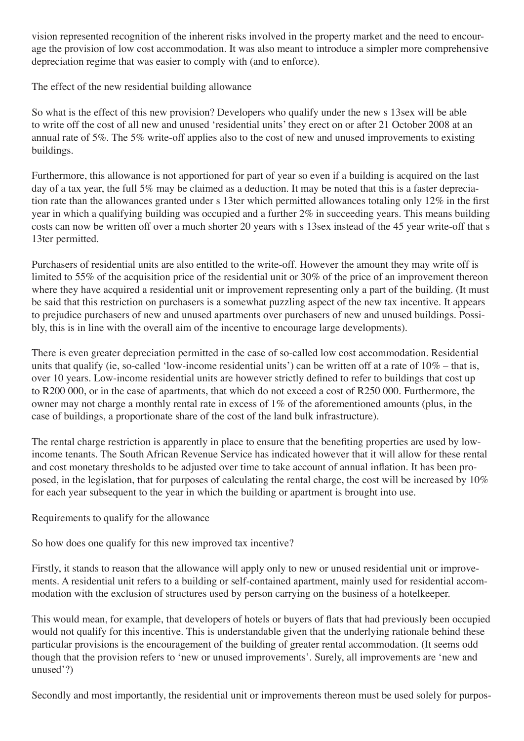vision represented recognition of the inherent risks involved in the property market and the need to encourage the provision of low cost accommodation. It was also meant to introduce a simpler more comprehensive depreciation regime that was easier to comply with (and to enforce).

The effect of the new residential building allowance

So what is the effect of this new provision? Developers who qualify under the new s 13sex will be able to write off the cost of all new and unused 'residential units' they erect on or after 21 October 2008 at an annual rate of 5%. The 5% write-off applies also to the cost of new and unused improvements to existing buildings.

Furthermore, this allowance is not apportioned for part of year so even if a building is acquired on the last day of a tax year, the full 5% may be claimed as a deduction. It may be noted that this is a faster depreciation rate than the allowances granted under s 13ter which permitted allowances totaling only 12% in the first year in which a qualifying building was occupied and a further 2% in succeeding years. This means building costs can now be written off over a much shorter 20 years with s 13sex instead of the 45 year write-off that s 13ter permitted.

Purchasers of residential units are also entitled to the write-off. However the amount they may write off is limited to 55% of the acquisition price of the residential unit or 30% of the price of an improvement thereon where they have acquired a residential unit or improvement representing only a part of the building. (It must be said that this restriction on purchasers is a somewhat puzzling aspect of the new tax incentive. It appears to prejudice purchasers of new and unused apartments over purchasers of new and unused buildings. Possibly, this is in line with the overall aim of the incentive to encourage large developments).

There is even greater depreciation permitted in the case of so-called low cost accommodation. Residential units that qualify (ie, so-called 'low-income residential units') can be written off at a rate of 10% – that is, over 10 years. Low-income residential units are however strictly defined to refer to buildings that cost up to R200 000, or in the case of apartments, that which do not exceed a cost of R250 000. Furthermore, the owner may not charge a monthly rental rate in excess of 1% of the aforementioned amounts (plus, in the case of buildings, a proportionate share of the cost of the land bulk infrastructure).

The rental charge restriction is apparently in place to ensure that the benefiting properties are used by lowincome tenants. The South African Revenue Service has indicated however that it will allow for these rental and cost monetary thresholds to be adjusted over time to take account of annual inflation. It has been proposed, in the legislation, that for purposes of calculating the rental charge, the cost will be increased by 10% for each year subsequent to the year in which the building or apartment is brought into use.

Requirements to qualify for the allowance

So how does one qualify for this new improved tax incentive?

Firstly, it stands to reason that the allowance will apply only to new or unused residential unit or improvements. A residential unit refers to a building or self-contained apartment, mainly used for residential accommodation with the exclusion of structures used by person carrying on the business of a hotelkeeper.

This would mean, for example, that developers of hotels or buyers of flats that had previously been occupied would not qualify for this incentive. This is understandable given that the underlying rationale behind these particular provisions is the encouragement of the building of greater rental accommodation. (It seems odd though that the provision refers to 'new or unused improvements'. Surely, all improvements are 'new and unused'?)

Secondly and most importantly, the residential unit or improvements thereon must be used solely for purpos-